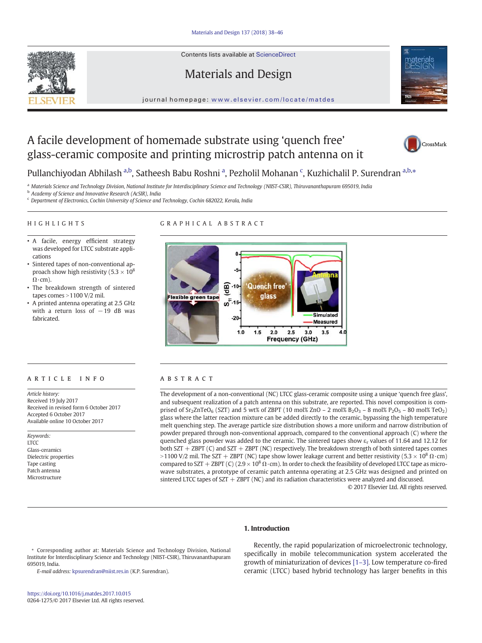Contents lists available at [ScienceDirect](http://www.sciencedirect.com/science/journal/)







#### journal homepage: <www.elsevier.com/locate/matdes>

# A facile development of homemade substrate using 'quench free' glass-ceramic composite and printing microstrip patch antenna on it



# Pullanchiyodan Abhilash <sup>a,b</sup>, Satheesh Babu Roshni <sup>a</sup>, Pezholil Mohanan <sup>c</sup>, Kuzhichalil P. Surendran <sup>a,b,\*</sup>

a Materials Science and Technology Division, National Institute for Interdisciplinary Science and Technology (NIIST-CSIR), Thiruvananthapuram 695019, India

**b** Academy of Science and Innovative Research (AcSIR), India

<sup>c</sup> Department of Electronics, Cochin University of Science and Technology, Cochin 682022, Kerala, India

#### HIGHLIGHTS

#### GRAPHICAL ABSTRACT

- A facile, energy efficient strategy was developed for LTCC substrate applications
- Sintered tapes of non-conventional approach show high resistivity (5.3  $\times$  10<sup>8</sup>  $\Omega$ ·cm).
- The breakdown strength of sintered tapes comes  $>$  1100 V/2 mil.
- A printed antenna operating at 2.5 GHz with a return loss of −19 dB was fabricated.

## ARTICLE INFO ABSTRACT

Article history: Received 19 July 2017 Received in revised form 6 October 2017 Accepted 6 October 2017 Available online 10 October 2017

#### Keywords: LTCC Glass-ceramics Dielectric properties Tape casting Patch antenna Microstructure



The development of a non-conventional (NC) LTCC glass-ceramic composite using a unique 'quench free glass', and subsequent realization of a patch antenna on this substrate, are reported. This novel composition is comprised of  $Sr_2ZnTeO_6$  (SZT) and 5 wt% of ZBPT (10 mol% ZnO – 2 mol%  $B_2O_3$  – 8 mol%  $P_2O_5$  – 80 mol% TeO<sub>2</sub>) glass where the latter reaction mixture can be added directly to the ceramic, bypassing the high temperature melt quenching step. The average particle size distribution shows a more uniform and narrow distribution of powder prepared through non-conventional approach, compared to the conventional approach (C) where the quenched glass powder was added to the ceramic. The sintered tapes show  $\varepsilon_r$  values of 11.64 and 12.12 for both SZT + ZBPT (C) and SZT + ZBPT (NC) respectively. The breakdown strength of both sintered tapes comes >1100 V/2 mil. The SZT + ZBPT (NC) tape show lower leakage current and better resistivity (5.3  $\times$  10<sup>8</sup>  $\Omega$ ·cm) compared to SZT + ZBPT (C) (2.9 × 10<sup>8</sup>  $\Omega$ ·cm). In order to check the feasibility of developed LTCC tape as microwave substrates, a prototype of ceramic patch antenna operating at 2.5 GHz was designed and printed on sintered LTCC tapes of  $SZT + ZBPT$  (NC) and its radiation characteristics were analyzed and discussed.

© 2017 Elsevier Ltd. All rights reserved.

### 1. Introduction

#### ⁎ Corresponding author at: Materials Science and Technology Division, National Institute for Interdisciplinary Science and Technology (NIIST-CSIR), Thiruvananthapuram 695019, India.

E-mail address: [kpsurendran@niist.res.in](mailto:kpsurendran@niist.res.in) (K.P. Surendran).

Recently, the rapid popularization of microelectronic technology, specifically in mobile telecommunication system accelerated the growth of miniaturization of devices [\[1](#page-7-0)–3]. Low temperature co-fired ceramic (LTCC) based hybrid technology has larger benefits in this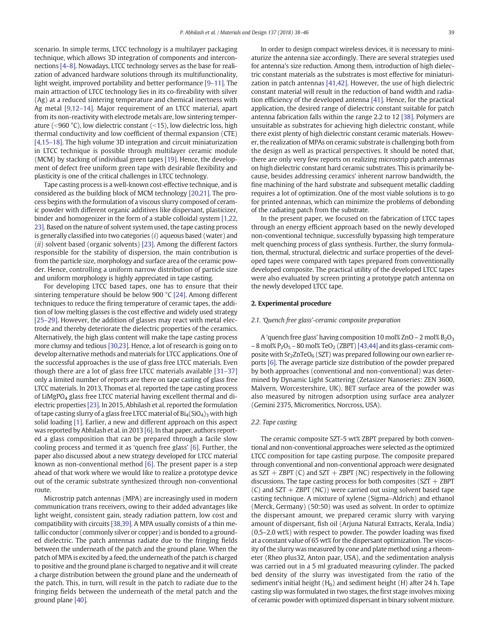scenario. In simple terms, LTCC technology is a multilayer packaging technique, which allows 3D integration of components and interconnections [\[4](#page-7-0)–8]. Nowadays, LTCC technology serves as the base for realization of advanced hardware solutions through its multifunctionality, light weight, improved portability and better performance [9–[11\]](#page-7-0). The main attraction of LTCC technology lies in its co-fireability with silver (Ag) at a reduced sintering temperature and chemical inertness with Ag metal [\[9,12](#page-7-0)–14]. Major requirement of an LTCC material, apart from its non-reactivity with electrode metals are, low sintering temperature ( $\leq$ 960 °C), low dielectric constant ( $\leq$ 15), low dielectric loss, high thermal conductivity and low coefficient of thermal expansion (CTE) [\[4,15](#page-7-0)–18]. The high volume 3D integration and circuit miniaturization in LTCC technique is possible through multilayer ceramic module (MCM) by stacking of individual green tapes [\[19\]](#page-7-0). Hence, the development of defect free uniform green tape with desirable flexibility and plasticity is one of the critical challenges in LTCC technology.

Tape casting process is a well-known cost-effective technique, and is considered as the building block of MCM technology [\[20,21\].](#page-7-0) The process begins with the formulation of a viscous slurry composed of ceramic powder with different organic additives like dispersant, plasticizer, binder and homogenizer in the form of a stable colloidal system [\[1,22,](#page-7-0) [23\]](#page-7-0). Based on the nature of solvent system used, the tape casting process is generally classified into two categories  $(i)$  aqueous based (water) and (ii) solvent based (organic solvents) [\[23\].](#page-7-0) Among the different factors responsible for the stability of dispersion, the main contribution is from the particle size, morphology and surface area of the ceramic powder. Hence, controlling a uniform narrow distribution of particle size and uniform morphology is highly appreciated in tape casting.

For developing LTCC based tapes, one has to ensure that their sintering temperature should be below 900 °C [\[24\]](#page-7-0). Among different techniques to reduce the firing temperature of ceramic tapes, the addition of low melting glasses is the cost effective and widely used strategy [25–[29\].](#page-7-0) However, the addition of glasses may react with metal electrode and thereby deteriorate the dielectric properties of the ceramics. Alternatively, the high glass content will make the tape casting process more clumsy and tedious [\[30,23\].](#page-8-0) Hence, a lot of research is going on to develop alternative methods and materials for LTCC applications. One of the successful approaches is the use of glass free LTCC materials. Even though there are a lot of glass free LTCC materials available [31–[37\]](#page-8-0) only a limited number of reports are there on tape casting of glass free LTCC materials. In 2013, Thomas et al. reported the tape casting process of LiMgPO4 glass free LTCC material having excellent thermal and dielectric properties [\[23\]](#page-7-0). In 2015, Abhilash et al. reported the formulation of tape casting slurry of a glass free LTCC material of  $Bi_4(SiO_4)_3$  with high solid loading [\[1\].](#page-7-0) Earlier, a new and different approach on this aspect was reported by Abhilash et al. in 2013 [\[6\]](#page-7-0). In that paper, authors reported a glass composition that can be prepared through a facile slow cooling process and termed it as 'quench free glass' [\[6\].](#page-7-0) Further, the paper also discussed about a new strategy developed for LTCC material known as non-conventional method [\[6\].](#page-7-0) The present paper is a step ahead of that work where we would like to realize a prototype device out of the ceramic substrate synthesized through non-conventional route.

Microstrip patch antennas (MPA) are increasingly used in modern communication trans receivers, owing to their added advantages like light weight, consistent gain, steady radiation pattern, low cost and compatibility with circuits [\[38,39\]](#page-8-0). A MPA usually consists of a thin metallic conductor (commonly silver or copper) and is bonded to a grounded dielectric. The patch antennas radiate due to the fringing fields between the underneath of the patch and the ground plane. When the patch of MPA is excited by a feed, the underneath of the patch is charged to positive and the ground plane is charged to negative and it will create a charge distribution between the ground plane and the underneath of the patch. This, in turn, will result in the patch to radiate due to the fringing fields between the underneath of the metal patch and the ground plane [\[40\]](#page-8-0).

In order to design compact wireless devices, it is necessary to miniaturize the antenna size accordingly. There are several strategies used for antenna's size reduction. Among them, introduction of high dielectric constant materials as the substrates is most effective for miniaturization in patch antennas [\[41,42\]](#page-8-0). However, the use of high dielectric constant material will result in the reduction of band width and radiation efficiency of the developed antenna [\[41\]](#page-8-0). Hence, for the practical application, the desired range of dielectric constant suitable for patch antenna fabrication falls within the range 2.2 to 12 [\[38\].](#page-8-0) Polymers are unsuitable as substrates for achieving high dielectric constant, while there exist plenty of high dielectric constant ceramic materials. However, the realization of MPAs on ceramic substrate is challenging both from the design as well as practical perspectives. It should be noted that, there are only very few reports on realizing microstrip patch antennas on high dielectric constant hard ceramic substrates. This is primarily because, besides addressing ceramics' inherent narrow bandwidth, the fine machining of the hard substrate and subsequent metallic cladding requires a lot of optimization. One of the most viable solutions is to go for printed antennas, which can minimize the problems of debonding of the radiating patch from the substrate.

In the present paper, we focused on the fabrication of LTCC tapes through an energy efficient approach based on the newly developed non-conventional technique, successfully bypassing high temperature melt quenching process of glass synthesis. Further, the slurry formulation, thermal, structural, dielectric and surface properties of the developed tapes were compared with tapes prepared from conventionally developed composite. The practical utility of the developed LTCC tapes were also evaluated by screen printing a prototype patch antenna on the newly developed LTCC tape.

#### 2. Experimental procedure

#### 2.1. 'Quench free glass'-ceramic composite preparation

A 'quench free glass' having composition 10 mol% ZnO - 2 mol%  $B_2O_3$ – 8 mol%  $P_2O_5$  – 80 mol% TeO<sub>2</sub> (ZBPT) [\[43,44\]](#page-8-0) and its glass-ceramic composite with  $Sr<sub>2</sub>ZnTeO<sub>6</sub>$  (SZT) was prepared following our own earlier reports [\[6\].](#page-7-0) The average particle size distribution of the powder prepared by both approaches (conventional and non-conventional) was determined by Dynamic Light Scattering (Zetasizer Nanoseries: ZEN 3600, Malvern, Worcestershire, UK). BET surface area of the powder was also measured by nitrogen adsorption using surface area analyzer (Gemini 2375, Micromeritics, Norcross, USA).

#### 2.2. Tape casting

The ceramic composite SZT-5 wt% ZBPT prepared by both conventional and non-conventional approaches were selected as the optimized LTCC composition for tape casting purpose. The composite prepared through conventional and non-conventional approach were designated as  $SZT + ZBPT$  (C) and  $SZT + ZBPT$  (NC) respectively in the following discussions. The tape casting process for both composites ( $SZT + ZBPT$  $(C)$  and SZT + ZBPT (NC)) were carried out using solvent based tape casting technique. A mixture of xylene (Sigma–Aldrich) and ethanol (Merck, Germany) (50:50) was used as solvent. In order to optimize the dispersant amount, we prepared ceramic slurry with varying amount of dispersant, fish oil (Arjuna Natural Extracts, Kerala, India) (0.5–2.0 wt%) with respect to powder. The powder loading was fixed at a constant value of 65 wt% for the dispersant optimization. The viscosity of the slurry was measured by cone and plate method using a rheometer (Rheo plus32, Anton paar, USA), and the sedimentation analysis was carried out in a 5 ml graduated measuring cylinder. The packed bed density of the slurry was investigated from the ratio of the sediment's initial height  $(H<sub>0</sub>)$  and sediment height  $(H)$  after 24 h. Tape casting slip was formulated in two stages, the first stage involves mixing of ceramic powder with optimized dispersant in binary solvent mixture.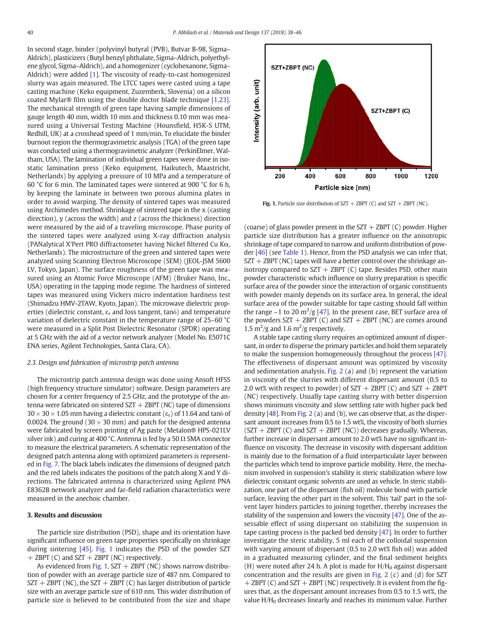In second stage, binder (polyvinyl butyral (PVB), Butvar B-98, Sigma– Aldrich), plasticizers (Butyl benzyl phthalate, Sigma–Aldrich, polyethylene glycol, Sigma–Aldrich), and a homogenizer (cyclohexanone, Sigma– Aldrich) were added [\[1\]](#page-7-0). The viscosity of ready-to-cast homogenized slurry was again measured. The LTCC tapes were casted using a tape casting machine (Keko equipment, Zuzemberk, Slovenia) on a silicon coated Mylar® film using the double doctor blade technique [\[1,23\].](#page-7-0) The mechanical strength of green tape having sample dimensions of gauge length 40 mm, width 10 mm and thickness 0.10 mm was measured using a Universal Testing Machine (Hounsfield, H5K-S UTM, Redhill, UK) at a crosshead speed of 1 mm/min. To elucidate the binder burnout region the thermogravimetric analysis (TGA) of the green tape was conducted using a thermogravimetric analyzer (PerkinElmer, Waltham, USA). The lamination of individual green tapes were done in isostatic lamination press (Keko equipment, Haikutech, Maastricht, Netherlands) by applying a pressure of 10 MPa and a temperature of 60 °C for 6 min. The laminated tapes were sintered at 900 °C for 6 h, by keeping the laminate in between two porous alumina plates in order to avoid warping. The density of sintered tapes was measured using Archimedes method. Shrinkage of sintered tape in the x (casting direction), y (across the width) and z (across the thickness) direction were measured by the aid of a traveling microscope. Phase purity of the sintered tapes were analyzed using X-ray diffraction analysis (PANalytical X'Pert PRO diffractometer having Nickel filtered Cu Kα, Netherlands). The microstructure of the green and sintered tapes were analyzed using Scanning Electron Microscope (SEM) (JEOL-JSM 5600 LV, Tokyo, Japan). The surface roughness of the green tape was measured using an Atomic Force Microscope (AFM) (Bruker Nano, Inc., USA) operating in the tapping mode regime. The hardness of sintered tapes was measured using Vickers micro indentation hardness test (Shimadzu HMV-2TAW, Kyoto, Japan). The microwave dielectric properties (dielectric constant,  $\varepsilon_r$  and loss tangent, tan $\delta$ ) and temperature variation of dielectric constant in the temperature range of 25–60 °C were measured in a Split Post Dielectric Resonator (SPDR) operating at 5 GHz with the aid of a vector network analyzer (Model No. E5071C ENA series, Agilent Technologies, Santa Clara, CA).

#### 2.3. Design and fabrication of microstrip patch antenna

The microstrip patch antenna design was done using Ansoft HFSS (high frequency structure simulator) software. Design parameters are chosen for a center frequency of 2.5 GHz, and the prototype of the antenna were fabricated on sintered  $ST + ZBPT$  (NC) tape of dimensions  $30 \times 30 \times 1.05$  mm having a dielectric constant ( $\varepsilon_{\rm r}$ ) of 11.64 and tan $\delta$  of 0.0024. The ground (30  $\times$  30 mm) and patch for the designed antenna were fabricated by screen printing of Ag paste (Metalon® HPS-021LV silver ink) and curing at 400 °C. Antenna is fed by a 50  $\Omega$  SMA connector to measure the electrical parameters. A schematic representation of the designed patch antenna along with optimized parameters is represented in [Fig. 7.](#page-6-0) The black labels indicates the dimensions of designed patch and the red labels indicates the positions of the patch along X and Y directions. The fabricated antenna is characterized using Agilent PNA E8362B network analyzer and far-field radiation characteristics were measured in the anechoic chamber.

#### 3. Results and discussion

The particle size distribution (PSD), shape and its orientation have significant influence on green tape properties specifically on shrinkage during sintering [\[45\]](#page-8-0). Fig. 1 indicates the PSD of the powder SZT  $+$  ZBPT (C) and SZT  $+$  ZBPT (NC) respectively.

As evidenced from Fig. 1,  $SZT + ZBPT$  (NC) shows narrow distribution of powder with an average particle size of 487 nm. Compared to  $SZT + ZBPT$  (NC), the  $SZT + ZBPT$  (C) has larger distribution of particle size with an average particle size of 610 nm. This wider distribution of particle size is believed to be contributed from the size and shape



Fig. 1. Particle size distribution of  $SZT + ZBPT$  (C) and  $SZT + ZBPT$  (NC).

(coarse) of glass powder present in the  $SZT + ZBPT$  (C) powder. Higher particle size distribution has a greater influence on the anisotropic shrinkage of tape compared to narrow and uniform distribution of powder [\[46\]](#page-8-0) (see [Table 1\)](#page-3-0). Hence, from the PSD analysis we can infer that,  $SZT + ZBPT$  (NC) tapes will have a better control over the shrinkage anisotropy compared to  $SZT + ZBPT$  (C) tape. Besides PSD, other main powder characteristic which influence on slurry preparation is specific surface area of the powder since the interaction of organic constituents with powder mainly depends on its surface area. In general, the ideal surface area of the powder suitable for tape casting should fall within the range  $\sim$  1 to 20 m<sup>2</sup>/g [\[47\].](#page-8-0) In the present case, BET surface area of the powders  $SZT + ZBPT$  (C) and  $SZT + ZBPT$  (NC) are comes around 1.5  $\mathrm{m}^2/\mathrm{g}$  and 1.6  $\mathrm{m}^2/\mathrm{g}$  respectively.

A stable tape casting slurry requires an optimized amount of dispersant, in order to disperse the primary particles and hold them separately to make the suspension homogeneously throughout the process [\[47\].](#page-8-0) The effectiveness of dispersant amount was optimized by viscosity and sedimentation analysis. [Fig. 2](#page-3-0) (a) and (b) represent the variation in viscosity of the slurries with different dispersant amount (0.5 to 2.0 wt% with respect to powder) of  $SZT + ZBPT$  (C) and  $SZT + ZBPT$ (NC) respectively. Usually tape casting slurry with better dispersion shows minimum viscosity and slow settling rate with higher pack bed density [\[48\].](#page-8-0) From [Fig. 2](#page-3-0) (a) and (b), we can observe that, as the dispersant amount increases from 0.5 to 1.5 wt%, the viscosity of both slurries  $(SZT + ZBPT (C)$  and  $SZT + ZBPT (NC))$  decreases gradually. Whereas, further increase in dispersant amount to 2.0 wt% have no significant influence on viscosity. The decrease in viscosity with dispersant addition is mainly due to the formation of a fluid interparticulate layer between the particles which tend to improve particle mobility. Here, the mechanism involved in suspension's stability is steric stabilization where low dielectric constant organic solvents are used as vehicle. In steric stabilization, one part of the dispersant (fish oil) molecule bond with particle surface, leaving the other part in the solvent. This 'tail' part in the solvent layer hinders particles to joining together, thereby increases the stability of the suspension and lowers the viscosity [\[47\]](#page-8-0). One of the assessable effect of using dispersant on stabilizing the suspension in tape casting process is the packed bed density [\[47\]](#page-8-0). In order to further investigate the steric stability, 5 ml each of the colloidal suspension with varying amount of dispersant (0.5 to 2.0 wt% fish oil) was added in a graduated measuring cylinder, and the final sediment heights (H) were noted after 24 h. A plot is made for  $H/H<sub>0</sub>$  against dispersant concentration and the results are given in [Fig. 2](#page-3-0) (c) and (d) for SZT + ZBPT (C) and SZT + ZBPT (NC) respectively. It is evident from the figures that, as the dispersant amount increases from 0.5 to 1.5 wt%, the value  $H/H<sub>0</sub>$  decreases linearly and reaches its minimum value. Further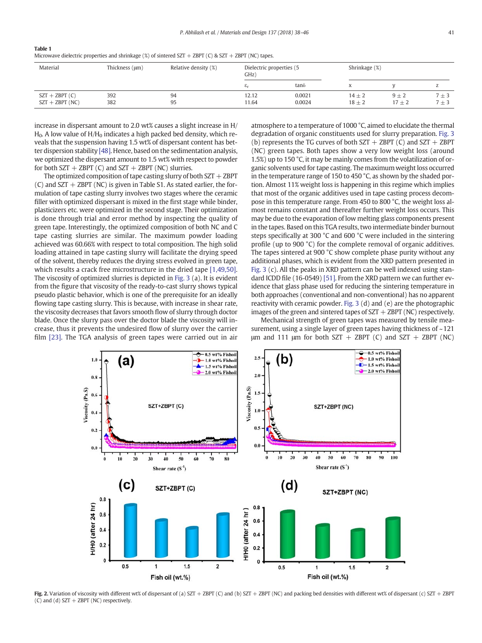<span id="page-3-0"></span>

| $\sim$<br>. . |
|---------------|
|---------------|

| Microwave dielectric properties and shrinkage (%) of sintered SZT + ZBPT (C) & SZT + ZBPT (NC) tapes. |  |  |  |
|-------------------------------------------------------------------------------------------------------|--|--|--|
|-------------------------------------------------------------------------------------------------------|--|--|--|

| Material                             | Thickness $(\mu m)$ | Relative density (%) | Dielectric properties (5<br>GHz) |                  |                          | Shrinkage (%)       |                      |  |
|--------------------------------------|---------------------|----------------------|----------------------------------|------------------|--------------------------|---------------------|----------------------|--|
|                                      |                     |                      | $\varepsilon_{\rm r}$            | $tan\delta$      | X                        |                     | z                    |  |
| $SZT + ZBPT(C)$<br>$SZT + ZBPT (NC)$ | 392<br>382          | 94<br>95             | 12.12<br>11.64                   | 0.0021<br>0.0024 | $14 \pm 2$<br>$18 \pm 2$ | $9 + 2$<br>$17 + 2$ | $7 + 3$<br>$7 \pm 3$ |  |

increase in dispersant amount to 2.0 wt% causes a slight increase in H/  $H<sub>0</sub>$ . A low value of  $H/H<sub>0</sub>$  indicates a high packed bed density, which reveals that the suspension having 1.5 wt% of dispersant content has better dispersion stability [\[48\].](#page-8-0) Hence, based on the sedimentation analysis, we optimized the dispersant amount to 1.5 wt% with respect to powder for both  $SZT + ZBPT$  (C) and  $SZT + ZBPT$  (NC) slurries.

The optimized composition of tape casting slurry of both  $SZT + ZBPT$ (C) and  $SZT + ZBPT$  (NC) is given in Table S1. As stated earlier, the formulation of tape casting slurry involves two stages where the ceramic filler with optimized dispersant is mixed in the first stage while binder, plasticizers etc. were optimized in the second stage. Their optimization is done through trial and error method by inspecting the quality of green tape. Interestingly, the optimized composition of both NC and C tape casting slurries are similar. The maximum powder loading achieved was 60.66% with respect to total composition. The high solid loading attained in tape casting slurry will facilitate the drying speed of the solvent, thereby reduces the drying stress evolved in green tape, which results a crack free microstructure in the dried tape [\[1,49,50\].](#page-7-0) The viscosity of optimized slurries is depicted in [Fig. 3](#page-4-0) (a). It is evident from the figure that viscosity of the ready-to-cast slurry shows typical pseudo plastic behavior, which is one of the prerequisite for an ideally flowing tape casting slurry. This is because, with increase in shear rate, the viscosity decreases that favors smooth flow of slurry through doctor blade. Once the slurry pass over the doctor blade the viscosity will increase, thus it prevents the undesired flow of slurry over the carrier film [\[23\].](#page-7-0) The TGA analysis of green tapes were carried out in air atmosphere to a temperature of 1000 °C, aimed to elucidate the thermal degradation of organic constituents used for slurry preparation. [Fig. 3](#page-4-0) (b) represents the TG curves of both  $SZT + ZBPT$  (C) and  $SZT + ZBPT$ (NC) green tapes. Both tapes show a very low weight loss (around 1.5%) up to 150 °C, it may be mainly comes from the volatilization of organic solvents used for tape casting. The maximum weight loss occurred in the temperature range of 150 to 450 °C, as shown by the shaded portion. Almost 11% weight loss is happening in this regime which implies that most of the organic additives used in tape casting process decompose in this temperature range. From 450 to 800 °C, the weight loss almost remains constant and thereafter further weight loss occurs. This may be due to the evaporation of low melting glass components present in the tapes. Based on this TGA results, two intermediate binder burnout steps specifically at 300 °C and 600 °C were included in the sintering profile (up to 900 °C) for the complete removal of organic additives. The tapes sintered at 900 °C show complete phase purity without any additional phases, which is evident from the XRD pattern presented in [Fig. 3](#page-4-0) (c). All the peaks in XRD pattern can be well indexed using standard ICDD file (16-0549) [\[51\]](#page-8-0). From the XRD pattern we can further evidence that glass phase used for reducing the sintering temperature in both approaches (conventional and non-conventional) has no apparent reactivity with ceramic powder. [Fig. 3](#page-4-0) (d) and (e) are the photographic images of the green and sintered tapes of  $SZT + ZBPT$  (NC) respectively.

Mechanical strength of green tapes was measured by tensile measurement, using a single layer of green tapes having thickness of ~121 μm and 111 μm for both SZT + ZBPT (C) and SZT + ZBPT (NC)



Fig. 2. Variation of viscosity with different wt% of dispersant of (a) SZT + ZBPT (C) and (b) SZT + ZBPT (NC) and packing bed densities with different wt% of dispersant (c) SZT + ZBPT (C) and (d)  $SZT + ZBPT$  (NC) respectively.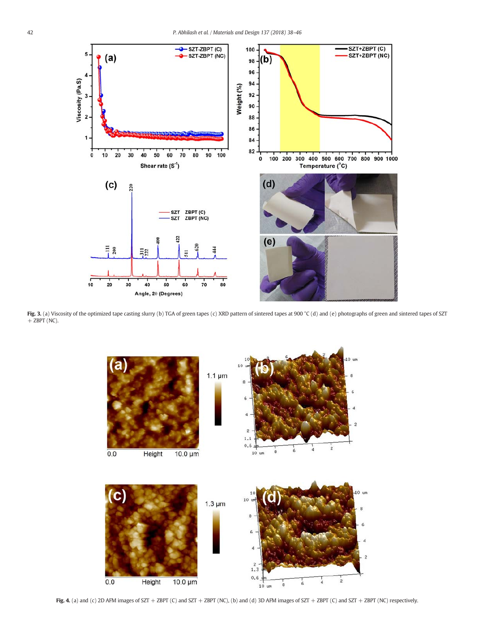<span id="page-4-0"></span>

Fig. 3. (a) Viscosity of the optimized tape casting slurry (b) TGA of green tapes (c) XRD pattern of sintered tapes at 900 °C (d) and (e) photographs of green and sintered tapes of SZT  $+$  ZBPT (NC).



Fig. 4. (a) and (c) 2D AFM images of SZT + ZBPT (C) and SZT + ZBPT (NC), (b) and (d) 3D AFM images of SZT + ZBPT (C) and SZT + ZBPT (NC) respectively.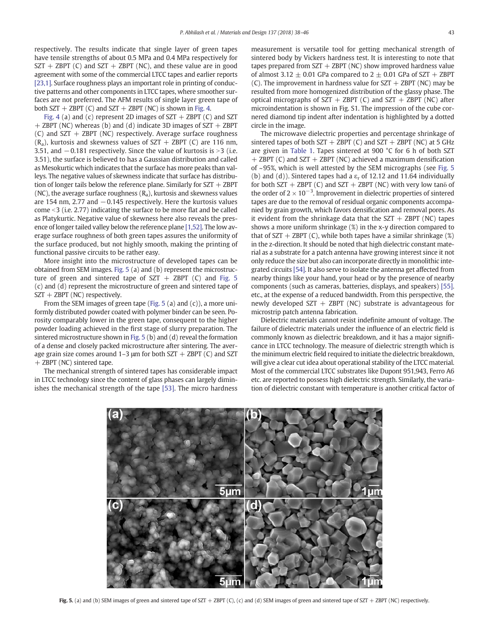respectively. The results indicate that single layer of green tapes have tensile strengths of about 0.5 MPa and 0.4 MPa respectively for  $SZT + ZBPT$  (C) and  $SZT + ZBPT$  (NC), and these value are in good agreement with some of the commercial LTCC tapes and earlier reports [\[23,1\]](#page-7-0). Surface roughness plays an important role in printing of conductive patterns and other components in LTCC tapes, where smoother surfaces are not preferred. The AFM results of single layer green tape of both  $SZT + ZBPT$  (C) and  $SZT + ZBPT$  (NC) is shown in [Fig. 4](#page-4-0).

[Fig. 4](#page-4-0) (a) and (c) represent 2D images of  $SZT + ZBPT$  (C) and SZT + ZBPT (NC) whereas (b) and (d) indicate 3D images of SZT + ZBPT (C) and  $SZT + ZBPT$  (NC) respectively. Average surface roughness  $(R_a)$ , kurtosis and skewness values of SZT + ZBPT (C) are 116 nm, 3.51, and −0.181 respectively. Since the value of kurtosis is >3 (i.e. 3.51), the surface is believed to has a Gaussian distribution and called as Mesokurtic which indicates that the surface has more peaks than valleys. The negative values of skewness indicate that surface has distribution of longer tails below the reference plane. Similarly for  $SZT + ZBPT$ (NC), the average surface roughness  $(R_a)$ , kurtosis and skewness values are 154 nm, 2.77 and −0.145 respectively. Here the kurtosis values come  $<$ 3 (i.e. 2.77) indicating the surface to be more flat and be called as Platykurtic. Negative value of skewness here also reveals the presence of longer tailed valley below the reference plane [\[1,52\].](#page-7-0) The low average surface roughness of both green tapes assures the uniformity of the surface produced, but not highly smooth, making the printing of functional passive circuits to be rather easy.

More insight into the microstructure of developed tapes can be obtained from SEM images. Fig. 5 (a) and (b) represent the microstructure of green and sintered tape of  $SZT + ZBPT$  (C) and Fig. 5 (c) and (d) represent the microstructure of green and sintered tape of  $SZT + ZBPT$  (NC) respectively.

From the SEM images of green tape (Fig. 5 (a) and (c)), a more uniformly distributed powder coated with polymer binder can be seen. Porosity comparably lower in the green tape, consequent to the higher powder loading achieved in the first stage of slurry preparation. The sintered microstructure shown in Fig. 5 (b) and (d) reveal the formation of a dense and closely packed microstructure after sintering. The average grain size comes around 1–3  $\mu$ m for both SZT + ZBPT (C) and SZT + ZBPT (NC) sintered tape.

The mechanical strength of sintered tapes has considerable impact in LTCC technology since the content of glass phases can largely diminishes the mechanical strength of the tape [\[53\]](#page-8-0). The micro hardness measurement is versatile tool for getting mechanical strength of sintered body by Vickers hardness test. It is interesting to note that tapes prepared from  $SZT + ZBPT$  (NC) show improved hardness value of almost 3.12  $\pm$  0.01 GPa compared to 2  $\pm$  0.01 GPa of SZT + ZBPT (C). The improvement in hardness value for  $SZT + ZBPT$  (NC) may be resulted from more homogenized distribution of the glassy phase. The optical micrographs of  $SZT + ZBPT$  (C) and  $SZT + ZBPT$  (NC) after microindentation is shown in Fig. S1. The impression of the cube cornered diamond tip indent after indentation is highlighted by a dotted circle in the image.

The microwave dielectric properties and percentage shrinkage of sintered tapes of both  $SZT + ZBPT$  (C) and  $SZT + ZBPT$  (NC) at 5 GHz are given in [Table 1.](#page-3-0) Tapes sintered at 900 °C for 6 h of both SZT  $+$  ZBPT (C) and SZT  $+$  ZBPT (NC) achieved a maximum densification of ~95%, which is well attested by the SEM micrographs (see Fig. 5 (b) and (d)). Sintered tapes had a  $\varepsilon_r$  of 12.12 and 11.64 individually for both  $SZT + ZBPT$  (C) and  $SZT + ZBPT$  (NC) with very low tan $\delta$  of the order of  $2 \times 10^{-3}$ . Improvement in dielectric properties of sintered tapes are due to the removal of residual organic components accompanied by grain growth, which favors densification and removal pores. As it evident from the shrinkage data that the  $SZT + ZBPT$  (NC) tapes shows a more uniform shrinkage (%) in the x-y direction compared to that of  $SZT + ZBPT$  (C), while both tapes have a similar shrinkage  $(\%)$ in the z-direction. It should be noted that high dielectric constant material as a substrate for a patch antenna have growing interest since it not only reduce the size but also can incorporate directly in monolithic integrated circuits [\[54\].](#page-8-0) It also serve to isolate the antenna get affected from nearby things like your hand, your head or by the presence of nearby components (such as cameras, batteries, displays, and speakers) [\[55\].](#page-8-0) etc., at the expense of a reduced bandwidth. From this perspective, the newly developed  $SZT + ZBPT$  (NC) substrate is advantageous for microstrip patch antenna fabrication.

Dielectric materials cannot resist indefinite amount of voltage. The failure of dielectric materials under the influence of an electric field is commonly known as dielectric breakdown, and it has a major significance in LTCC technology. The measure of dielectric strength which is the minimum electric field required to initiate the dielectric breakdown, will give a clear cut idea about operational stability of the LTCC material. Most of the commercial LTCC substrates like Dupont 951,943, Ferro A6 etc. are reported to possess high dielectric strength. Similarly, the variation of dielectric constant with temperature is another critical factor of



Fig. 5. (a) and (b) SEM images of green and sintered tape of SZT + ZBPT (C), (c) and (d) SEM images of green and sintered tape of SZT + ZBPT (NC) respectively.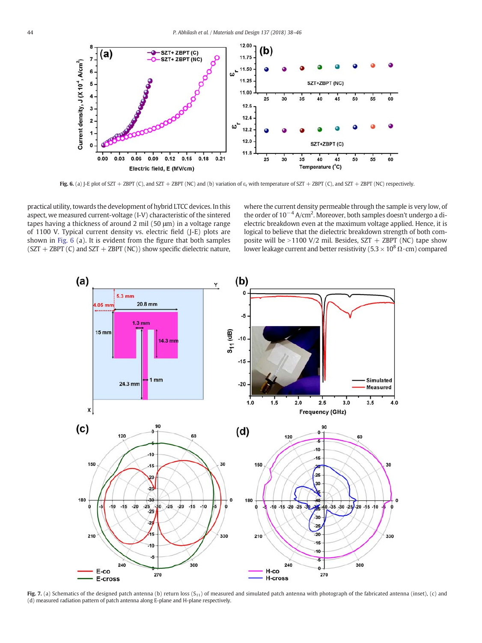<span id="page-6-0"></span>

Fig. 6. (a) J-E plot of SZT + ZBPT (C), and SZT + ZBPT (NC) and (b) variation of  $\varepsilon_r$  with temperature of SZT + ZBPT (C), and SZT + ZBPT (NC) respectively.

practical utility, towards the development of hybrid LTCC devices. In this aspect, we measured current-voltage (I-V) characteristic of the sintered tapes having a thickness of around 2 mil (50 μm) in a voltage range of 1100 V. Typical current density vs. electric field (J-E) plots are shown in Fig. 6 (a). It is evident from the figure that both samples  $(SZT + ZBPT(C)$  and  $SZT + ZBPT(NC))$  show specific dielectric nature,

where the current density permeable through the sample is very low, of the order of  $10^{-4}$  A/cm<sup>2</sup>. Moreover, both samples doesn't undergo a dielectric breakdown even at the maximum voltage applied. Hence, it is logical to believe that the dielectric breakdown strength of both composite will be  $>1100$  V/2 mil. Besides, SZT + ZBPT (NC) tape show lower leakage current and better resistivity ( $5.3 \times 10^8 \Omega \cdot$ cm) compared



Fig. 7. (a) Schematics of the designed patch antenna (b) return loss  $(S_{11})$  of measured and simulated patch antenna with photograph of the fabricated antenna (inset), (c) and (d) measured radiation pattern of patch antenna along E-plane and H-plane respectively.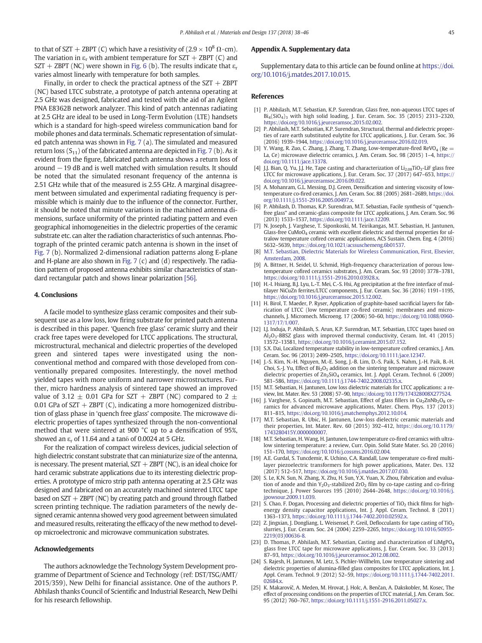<span id="page-7-0"></span>to that of SZT + ZBPT (C) which have a resistivity of  $(2.9 \times 10^8 \Omega \cdot cm)$ . The variation in  $\varepsilon_r$  with ambient temperature for SZT + ZBPT (C) and  $SZT + ZBPT$  (NC) were shown in [Fig. 6](#page-6-0) (b). The results indicate that  $\varepsilon_r$ varies almost linearly with temperature for both samples.

Finally, in order to check the practical aptness of the  $SZT + ZBPT$ (NC) based LTCC substrate, a prototype of patch antenna operating at 2.5 GHz was designed, fabricated and tested with the aid of an Agilent PNA E8362B network analyzer. This kind of patch antennas radiating at 2.5 GHz are ideal to be used in Long-Term Evolution (LTE) handsets which is a standard for high-speed wireless communication band for mobile phones and data terminals. Schematic representation of simulated patch antenna was shown in [Fig. 7](#page-6-0) (a). The simulated and measured return loss  $(S_{11})$  of the fabricated antenna are depicted in [Fig. 7](#page-6-0) (b). As it evident from the figure, fabricated patch antenna shows a return loss of around −19 dB and is well matched with simulation results. It should be noted that the simulated resonant frequency of the antenna is 2.51 GHz while that of the measured is 2.55 GHz. A marginal disagreement between simulated and experimental radiating frequency is permissible which is mainly due to the influence of the connector. Further, it should be noted that minute variations in the machined antenna dimensions, surface uniformity of the printed radiating pattern and even geographical inhomogeneities in the dielectric properties of the ceramic substrate etc. can alter the radiation characteristics of such antennas. Photograph of the printed ceramic patch antenna is shown in the inset of [Fig. 7](#page-6-0) (b). Normalized 2-dimensional radiation patterns along E-plane and H-plane are also shown in [Fig. 7](#page-6-0) (c) and (d) respectively. The radiation pattern of proposed antenna exhibits similar characteristics of standard rectangular patch and shows linear polarization [\[56\].](#page-8-0)

#### 4. Conclusions

A facile model to synthesize glass ceramic composites and their subsequent use as a low loss, low firing substrate for printed patch antenna is described in this paper. 'Quench free glass' ceramic slurry and their crack free tapes were developed for LTCC applications. The structural, microstructural, mechanical and dielectric properties of the developed green and sintered tapes were investigated using the nonconventional method and compared with those developed from conventionally prepared composites. Interestingly, the novel method yielded tapes with more uniform and narrower microstructures. Further, micro hardness analysis of sintered tape showed an improved value of 3.12  $\pm$  0.01 GPa for SZT + ZBPT (NC) compared to 2  $\pm$ 0.01 GPa of  $SZT + ZBPT$  (C), indicating a more homogenized distribution of glass phase in 'quench free glass' composite. The microwave dielectric properties of tapes synthesized through the non-conventional method that were sintered at 900 °C up to a densification of 95%, showed an  $\varepsilon_r$  of 11.64 and a tan $\delta$  of 0.0024 at 5 GHz.

For the realization of compact wireless devices, judicial selection of high dielectric constant substrate that can miniaturize size of the antenna, is necessary. The present material,  $SZT + ZBPT$  (NC), is an ideal choice for hard ceramic substrate applications due to its interesting dielectric properties. A prototype of micro strip path antenna operating at 2.5 GHz was designed and fabricated on an accurately machined sintered LTCC tape based on  $SZT + ZBPT$  (NC) by creating patch and ground through flatbed screen printing technique. The radiation parameters of the newly designed ceramic antenna showed very good agreement between simulated and measured results, reiterating the efficacy of the new method to develop microelectronic and microwave communication substrates.

#### Acknowledgements

The authors acknowledge the Technology System Development programme of Department of Science and Technology (ref: DST/TSG/AMT/ 2015/359), New Delhi for financial assistance. One of the authors P. Abhilash thanks Council of Scientific and Industrial Research, New Delhi for his research fellowship.

#### Appendix A. Supplementary data

Supplementary data to this article can be found online at [https://doi.](https://doi.org/10.1016/j.matdes.2017.10.015) [org/10.1016/j.matdes.2017.10.015](https://doi.org/10.1016/j.matdes.2017.10.015).

#### References

- [1] P. Abhilash, M.T. Sebastian, K.P. Surendran, Glass free, non-aqueous LTCC tapes of  $Bi_4(SiO_4)_3$  with high solid loading, J. Eur. Ceram. Soc. 35 (2015) 2313–2320, <https://doi.org/10.1016/j.jeurceramsoc.2015.02.002>.
- [2] P. Abhilash, M.T. Sebastian, K.P. Surendran, Structural, thermal and dielectric properties of rare earth substituted eulytite for LTCC applications, J. Eur. Ceram. Soc. 36 (2016) 1939–1944, [https://doi.org/10.1016/j.jeurceramsoc.2016.02.019.](https://doi.org/10.1016/j.jeurceramsoc.2016.02.019)
- [3] Y. Wang, R. Zuo, C. Zhang, J. Zhang, T. Zhang, Low-temperature-fired ReVO<sub>4</sub> (Re  $=$ La, Ce) microwave dielectric ceramics, J. Am. Ceram. Soc. 98 (2015) 1–4, [https://](https://doi.org/10.1111/jace.13378) [doi.org/10.1111/jace.13378.](https://doi.org/10.1111/jace.13378)
- J.J. Bian, Q. Yu, J.J. He, Tape casting and characterization of  $Li_{2.08}TiO_3$ -LiF glass free LTCC for microwave applications, J. Eur. Ceram. Soc. 37 (2017) 647–653, [https://](https://doi.org/10.1016/j.jeurceramsoc.2016.09.022) [doi.org/10.1016/j.jeurceramsoc.2016.09.022.](https://doi.org/10.1016/j.jeurceramsoc.2016.09.022)
- [5] A. Mohanram, G.L. Messing, D.J. Green, Densification and sintering viscosity of lowtemperature co-fired ceramics, J. Am. Ceram. Soc. 88 (2005) 2681–2689, [https://doi.](https://doi.org/10.1111/j.1551-2916.2005.00497.x) [org/10.1111/j.1551-2916.2005.00497.x](https://doi.org/10.1111/j.1551-2916.2005.00497.x).
- [6] P. Abhilash, D. Thomas, K.P. Surendran, M.T. Sebastian, Facile synthesis of "quenchfree glass" and ceramic-glass composite for LTCC applications, J. Am. Ceram. Soc. 96 (2013) 1533–1537, [https://doi.org/10.1111/jace.12209.](https://doi.org/10.1111/jace.12209)
- [7] N. Joseph, J. Varghese, T. Siponkoski, M. Teirikangas, M.T. Sebastian, H. Jantunen, Glass-free CuMoO<sub>4</sub> ceramic with excellent dielectric and thermal properties for ultralow temperature cofired ceramic applications, ACS Sustain. Chem. Eng. 4 (2016) 5632–5639, <https://doi.org/10.1021/acssuschemeng.6b01537>.
- [8] [M.T. Sebastian, Dielectric Materials for Wireless Communication, First, Elsevier,](http://refhub.elsevier.com/S0264-1275(17)30935-8/rf0040) [Amsterdam, 2008.](http://refhub.elsevier.com/S0264-1275(17)30935-8/rf0040)
- [9] A. Bittner, H. Seidel, U. Schmid, High-frequency characterization of porous lowtemperature cofired ceramics substrates, J. Am. Ceram. Soc. 93 (2010) 3778–3781, [https://doi.org/10.1111/j.1551-2916.2010.03928.x.](https://doi.org/10.1111/j.1551-2916.2010.03928.x)
- [10] H.-I. Hsiang, B.J. Lyu, L.-T. Mei, C.-S. Hsi, Ag precipitation at the free interface of multilayer NiCuZn ferrites/LTCC components, J. Eur. Ceram. Soc. 36 (2016) 1191–1195, [https://doi.org/10.1016/j.jeurceramsoc.2015.12.002.](https://doi.org/10.1016/j.jeurceramsoc.2015.12.002)
- [11] H. Birol, T. Maeder, P. Ryser, Application of graphite-based sacrificial layers for fabrication of LTCC (low temperature co-fired ceramic) membranes and microchannels, J. Micromech. Microeng. 17 (2006) 50–60, [https://doi.org/10.1088/0960-](https://doi.org/10.1088/0960-1317/17/1/007) [1317/17/1/007](https://doi.org/10.1088/0960-1317/17/1/007).
- [12] I.J. Induja, P. Abhilash, S. Arun, K.P. Surendran, M.T. Sebastian, LTCC tapes based on Al2O3-BBSZ glass with improved thermal conductivity, Ceram. Int. 41 (2015) 13572–13581, [https://doi.org/10.1016/j.ceramint.2015.07.152.](https://doi.org/10.1016/j.ceramint.2015.07.152)
- [13] S.X. Dai, Localized temperature stability in low-temperature cofired ceramics, J. Am. Ceram. Soc. 96 (2013) 2499–2505, <https://doi.org/10.1111/jace.12347>.
- [14] J.-S. Kim, N.-H. Nguyen, M.-E. Song, J.-B. Lim, D.-S. Paik, S. Nahm, J.-H. Paik, B.-H. Choi, S.-J. Yu, Effect of  $Bi<sub>2</sub>O<sub>3</sub>$  addition on the sintering temperature and microwave dielectric properties of Zn<sub>2</sub>SiO<sub>4</sub> ceramics, Int. J. Appl. Ceram. Technol. 6 (2009) 581–586, <https://doi.org/10.1111/j.1744-7402.2008.02335.x>.
- [15] M.T. Sebastian, H. Jantunen, Low loss dielectric materials for LTCC applications: a review, Int. Mater. Rev. 53 (2008) 57–90, <https://doi.org/10.1179/174328008X277524>.
- [16] J. Varghese, S. Gopinath, M.T. Sebastian, Effect of glass fillers in Cu<sub>2</sub>ZnNb<sub>2</sub>O<sub>8</sub> ceramics for advanced microwave applications, Mater. Chem. Phys. 137 (2013) 811–815, <https://doi.org/10.1016/j.matchemphys.2012.10.014>.
- [17] M.T. Sebastian, R. Ubic, H. Jantunen, Low-loss dielectric ceramic materials and their properties, Int. Mater. Rev. 60 (2015) 392–412, [https://doi.org/10.1179/](https://doi.org/10.1179/1743280415Y.0000000007) [1743280415Y.0000000007.](https://doi.org/10.1179/1743280415Y.0000000007)
- [18] M.T. Sebastian, H. Wang, H. Jantunen, Low temperature co-fired ceramics with ultralow sintering temperature: a review, Curr. Opin. Solid State Mater. Sci. 20 (2016) 151–170, <https://doi.org/10.1016/j.cossms.2016.02.004>.
- [19] A.E. Gurdal, S. Tuncdemir, K. Uchino, C.A. Randall, Low temperature co-fired multilayer piezoelectric transformers for high power applications, Mater. Des. 132 (2017) 512–517, [https://doi.org/10.1016/j.matdes.2017.07.030.](https://doi.org/10.1016/j.matdes.2017.07.030)
- [20] S. Le, K.N. Sun, N. Zhang, X. Zhu, H. Sun, Y.X. Yuan, X. Zhou, Fabrication and evaluation of anode and thin  $Y_2O_3$ -stabilized ZrO<sub>2</sub> film by co-tape casting and co-firing technique, J. Power Sources 195 (2010) 2644–2648, [https://doi.org/10.1016/j.](https://doi.org/10.1016/j.jpowsour.2009.11.039) [jpowsour.2009.11.039.](https://doi.org/10.1016/j.jpowsour.2009.11.039)
- [21] S. Chao, F. Dogan, Processing and dielectric properties of  $TiO<sub>2</sub>$  thick films for highenergy density capacitor applications, Int. J. Appl. Ceram. Technol. 8 (2011) 1363–1373, [https://doi.org/10.1111/j.1744-7402.2010.02592.x.](https://doi.org/10.1111/j.1744-7402.2010.02592.x)
- [22] Z. Jingxian, J. Dongliang, L. Weisensel, P. Greil, Deflocculants for tape casting of TiO<sub>2</sub> slurries, J. Eur. Ceram. Soc. 24 (2004) 2259–2265, [https://doi.org/10.1016/S0955-](https://doi.org/10.1016/S0955-2219(03)00636-8) [2219\(03\)00636-8](https://doi.org/10.1016/S0955-2219(03)00636-8).
- [23] D. Thomas, P. Abhilash, M.T. Sebastian, Casting and characterization of  $LimgPO<sub>4</sub>$ glass free LTCC tape for microwave applications, J. Eur. Ceram. Soc. 33 (2013) 87–93, <https://doi.org/10.1016/j.jeurceramsoc.2012.08.002>.
- [24] S. Rajesh, H. Jantunen, M. Letz, S. Pichler-Willhelm, Low temperature sintering and dielectric properties of alumina-filled glass composites for LTCC applications, Int. J. Appl. Ceram. Technol. 9 (2012) 52–59, [https://doi.org/10.1111/j.1744-7402.2011.](https://doi.org/10.1111/j.1744-7402.2011.02684.x) [02684.x](https://doi.org/10.1111/j.1744-7402.2011.02684.x).
- [25] K. Makarovič, A. Meden, M. Hrovat, J. Holc, A. Benčan, A. Dakskobler, M. Kosec, The effect of processing conditions on the properties of LTCC material, J. Am. Ceram. Soc. 95 (2012) 760–767, <https://doi.org/10.1111/j.1551-2916.2011.05027.x>.